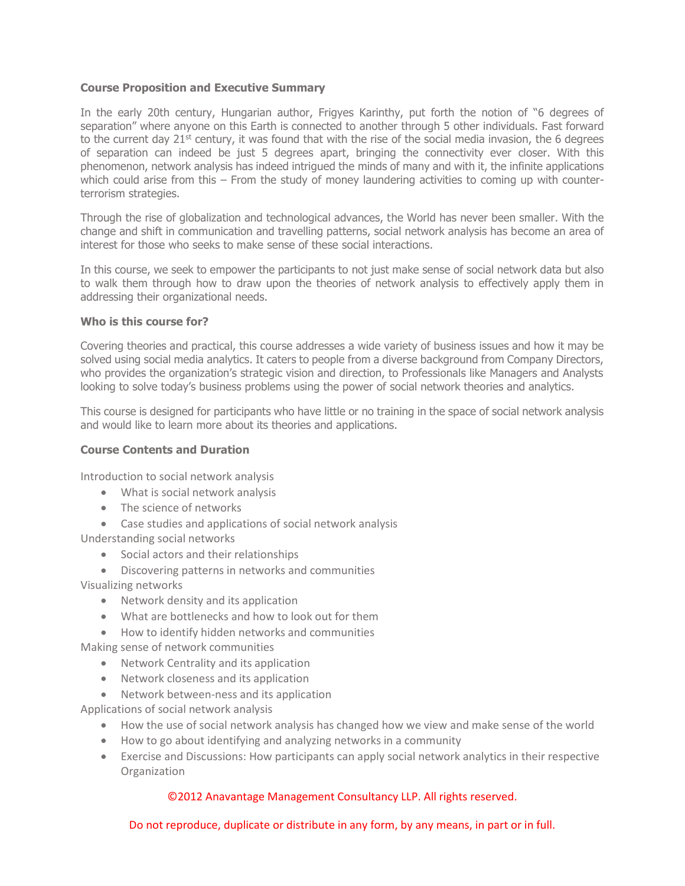## **Course Proposition and Executive Summary**

In the early 20th century, Hungarian author, Frigyes Karinthy, put forth the notion of "6 degrees of separation" where anyone on this Earth is connected to another through 5 other individuals. Fast forward to the current day  $21^{st}$  century, it was found that with the rise of the social media invasion, the 6 degrees of separation can indeed be just 5 degrees apart, bringing the connectivity ever closer. With this phenomenon, network analysis has indeed intrigued the minds of many and with it, the infinite applications which could arise from this – From the study of money laundering activities to coming up with counterterrorism strategies.

Through the rise of globalization and technological advances, the World has never been smaller. With the change and shift in communication and travelling patterns, social network analysis has become an area of interest for those who seeks to make sense of these social interactions.

In this course, we seek to empower the participants to not just make sense of social network data but also to walk them through how to draw upon the theories of network analysis to effectively apply them in addressing their organizational needs.

## **Who is this course for?**

Covering theories and practical, this course addresses a wide variety of business issues and how it may be solved using social media analytics. It caters to people from a diverse background from Company Directors, who provides the organization's strategic vision and direction, to Professionals like Managers and Analysts looking to solve today's business problems using the power of social network theories and analytics.

This course is designed for participants who have little or no training in the space of social network analysis and would like to learn more about its theories and applications.

# **Course Contents and Duration**

Introduction to social network analysis

- What is social network analysis
- The science of networks
- Case studies and applications of social network analysis

Understanding social networks

- Social actors and their relationships
- Discovering patterns in networks and communities

Visualizing networks

- Network density and its application
- What are bottlenecks and how to look out for them
- How to identify hidden networks and communities

Making sense of network communities

- Network Centrality and its application
- Network closeness and its application
- Network between-ness and its application

Applications of social network analysis

- How the use of social network analysis has changed how we view and make sense of the world
- How to go about identifying and analyzing networks in a community
- Exercise and Discussions: How participants can apply social network analytics in their respective **Organization**

#### ©2012 Anavantage Management Consultancy LLP. All rights reserved.

Do not reproduce, duplicate or distribute in any form, by any means, in part or in full.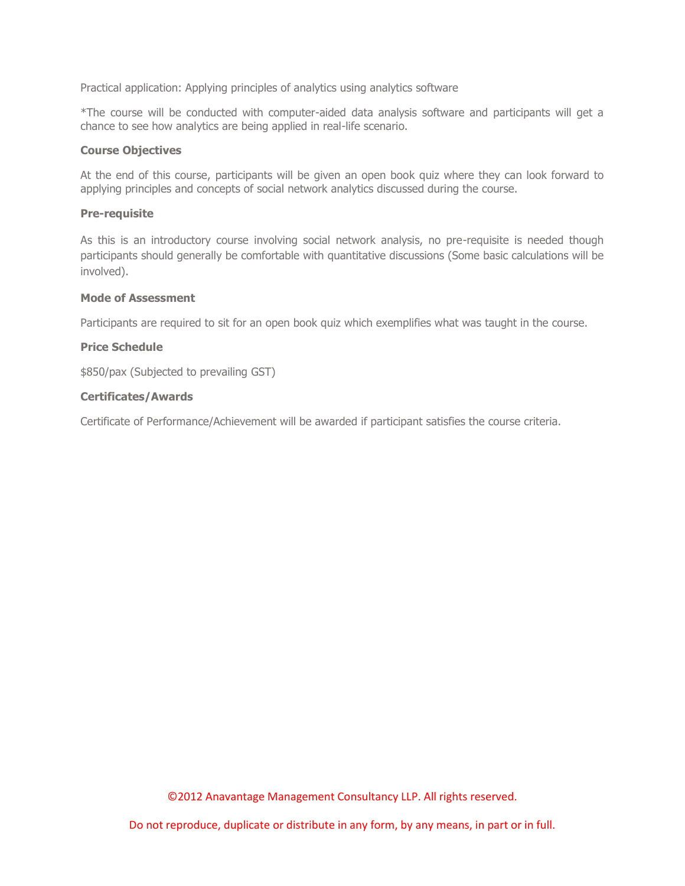Practical application: Applying principles of analytics using analytics software

\*The course will be conducted with computer-aided data analysis software and participants will get a chance to see how analytics are being applied in real-life scenario.

#### **Course Objectives**

At the end of this course, participants will be given an open book quiz where they can look forward to applying principles and concepts of social network analytics discussed during the course.

## **Pre-requisite**

As this is an introductory course involving social network analysis, no pre-requisite is needed though participants should generally be comfortable with quantitative discussions (Some basic calculations will be involved).

## **Mode of Assessment**

Participants are required to sit for an open book quiz which exemplifies what was taught in the course.

# **Price Schedule**

\$850/pax (Subjected to prevailing GST)

## **Certificates/Awards**

Certificate of Performance/Achievement will be awarded if participant satisfies the course criteria.

©2012 Anavantage Management Consultancy LLP. All rights reserved.